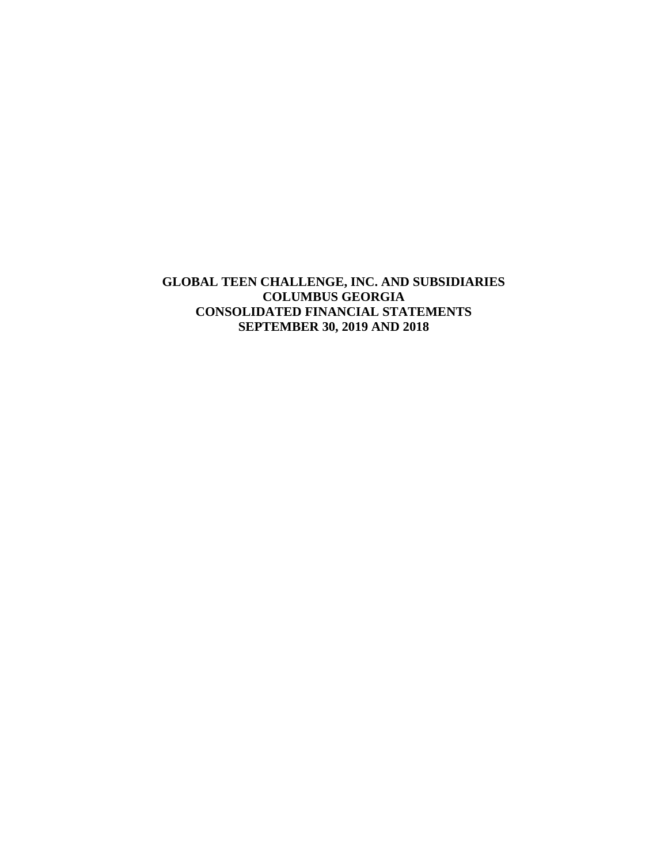**GLOBAL TEEN CHALLENGE, INC. AND SUBSIDIARIES COLUMBUS GEORGIA CONSOLIDATED FINANCIAL STATEMENTS SEPTEMBER 30, 2019 AND 2018**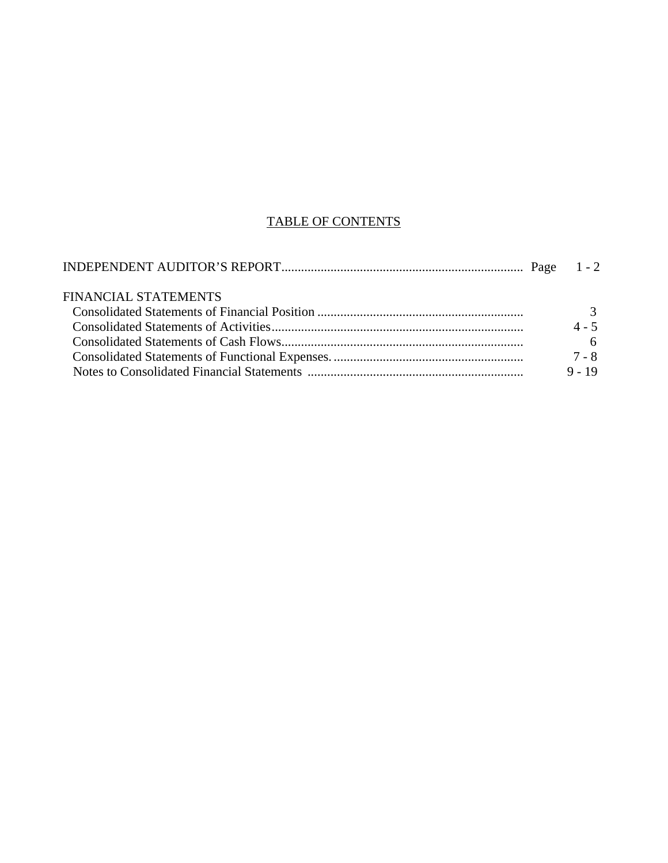# TABLE OF CONTENTS

| <b>FINANCIAL STATEMENTS</b> |          |
|-----------------------------|----------|
|                             |          |
|                             | $4 - 5$  |
|                             |          |
|                             | 7 - 8    |
|                             | $9 - 19$ |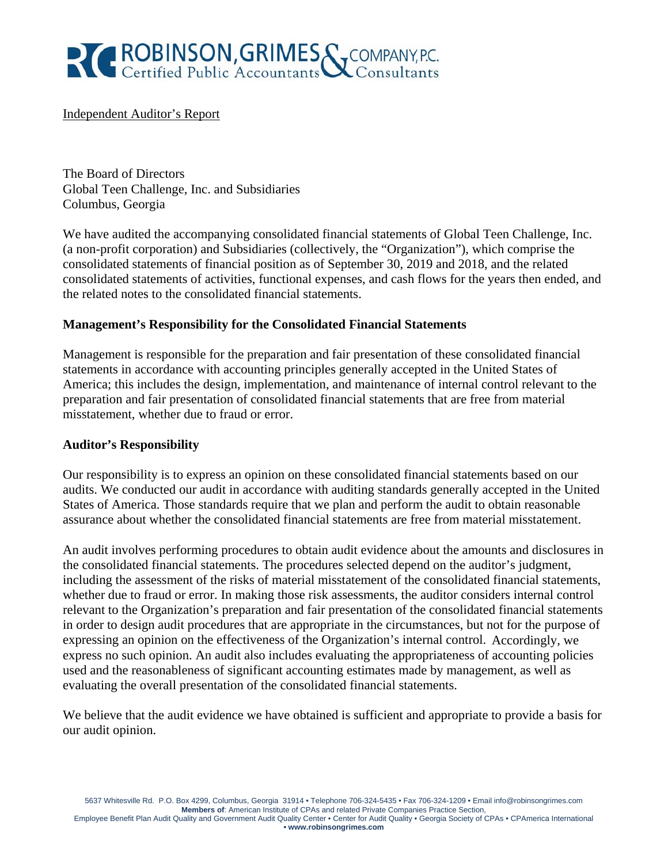

### Independent Auditor's Report

The Board of Directors Global Teen Challenge, Inc. and Subsidiaries Columbus, Georgia

We have audited the accompanying consolidated financial statements of Global Teen Challenge, Inc. (a non-profit corporation) and Subsidiaries (collectively, the "Organization"), which comprise the consolidated statements of financial position as of September 30, 2019 and 2018, and the related consolidated statements of activities, functional expenses, and cash flows for the years then ended, and the related notes to the consolidated financial statements.

# **Management's Responsibility for the Consolidated Financial Statements**

Management is responsible for the preparation and fair presentation of these consolidated financial statements in accordance with accounting principles generally accepted in the United States of America; this includes the design, implementation, and maintenance of internal control relevant to the preparation and fair presentation of consolidated financial statements that are free from material misstatement, whether due to fraud or error.

#### **Auditor's Responsibility**

Our responsibility is to express an opinion on these consolidated financial statements based on our audits. We conducted our audit in accordance with auditing standards generally accepted in the United States of America. Those standards require that we plan and perform the audit to obtain reasonable assurance about whether the consolidated financial statements are free from material misstatement.

An audit involves performing procedures to obtain audit evidence about the amounts and disclosures in the consolidated financial statements. The procedures selected depend on the auditor's judgment, including the assessment of the risks of material misstatement of the consolidated financial statements, whether due to fraud or error. In making those risk assessments, the auditor considers internal control relevant to the Organization's preparation and fair presentation of the consolidated financial statements in order to design audit procedures that are appropriate in the circumstances, but not for the purpose of expressing an opinion on the effectiveness of the Organization's internal control. Accordingly, we express no such opinion. An audit also includes evaluating the appropriateness of accounting policies used and the reasonableness of significant accounting estimates made by management, as well as evaluating the overall presentation of the consolidated financial statements.

We believe that the audit evidence we have obtained is sufficient and appropriate to provide a basis for our audit opinion.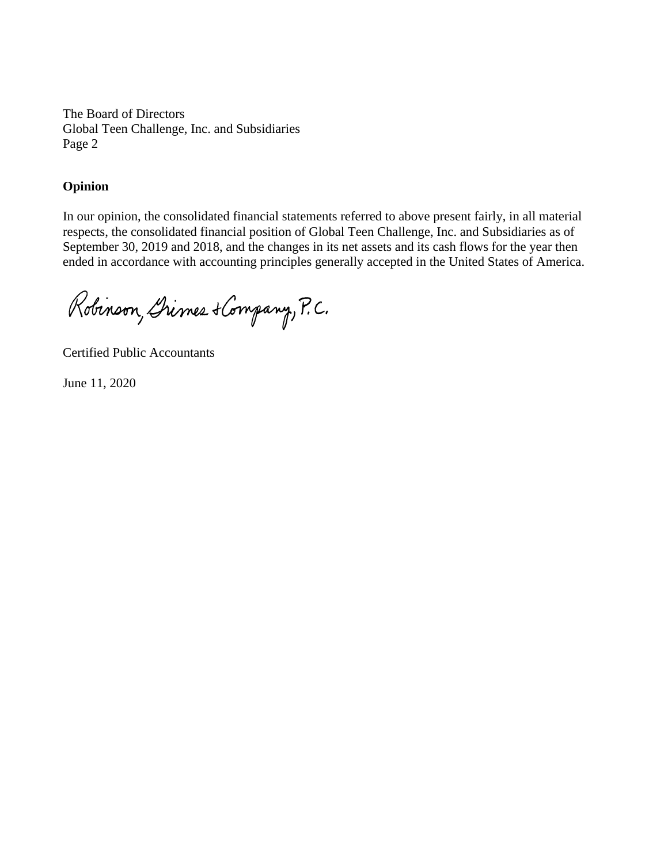The Board of Directors Global Teen Challenge, Inc. and Subsidiaries Page 2

### **Opinion**

In our opinion, the consolidated financial statements referred to above present fairly, in all material respects, the consolidated financial position of Global Teen Challenge, Inc. and Subsidiaries as of September 30, 2019 and 2018, and the changes in its net assets and its cash flows for the year then ended in accordance with accounting principles generally accepted in the United States of America.

Robinson, Grimes + Company, P.C.

Certified Public Accountants

June 11, 2020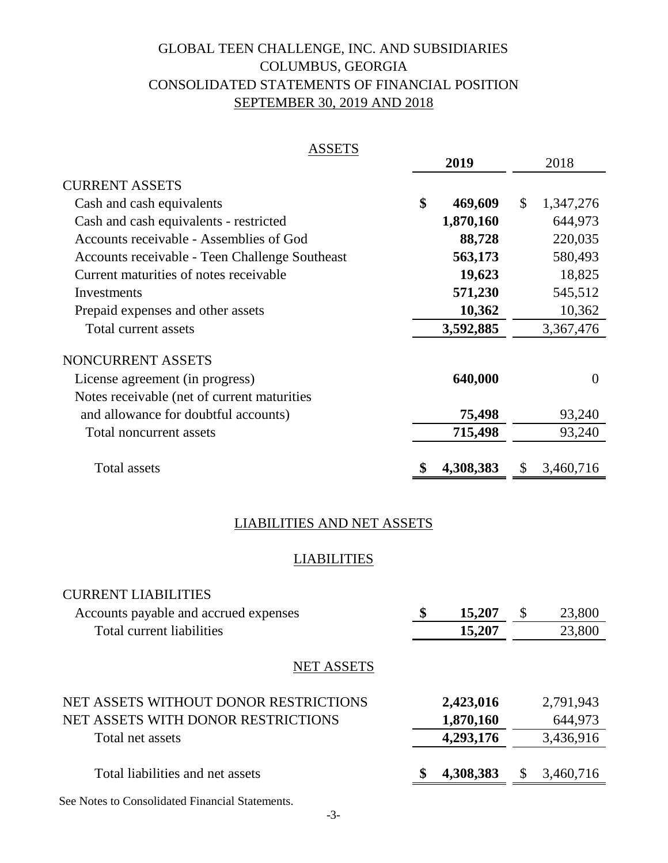# GLOBAL TEEN CHALLENGE, INC. AND SUBSIDIARIES SEPTEMBER 30, 2019 AND 2018 CONSOLIDATED STATEMENTS OF FINANCIAL POSITION COLUMBUS, GEORGIA

| <b>ASSETS</b>                                  |               |                           |
|------------------------------------------------|---------------|---------------------------|
|                                                | 2019          | 2018                      |
| <b>CURRENT ASSETS</b>                          |               |                           |
| Cash and cash equivalents                      | \$<br>469,609 | $\mathbb{S}$<br>1,347,276 |
| Cash and cash equivalents - restricted         | 1,870,160     | 644,973                   |
| Accounts receivable - Assemblies of God        | 88,728        | 220,035                   |
| Accounts receivable - Teen Challenge Southeast | 563,173       | 580,493                   |
| Current maturities of notes receivable         | 19,623        | 18,825                    |
| Investments                                    | 571,230       | 545,512                   |
| Prepaid expenses and other assets              | 10,362        | 10,362                    |
| Total current assets                           | 3,592,885     | 3,367,476                 |
| NONCURRENT ASSETS                              |               |                           |
| License agreement (in progress)                | 640,000       | $\Omega$                  |
| Notes receivable (net of current maturities    |               |                           |
| and allowance for doubtful accounts)           | 75,498        | 93,240                    |
| Total noncurrent assets                        | 715,498       | 93,240                    |
|                                                |               |                           |
| <b>Total assets</b>                            | 4,308,383     | 3,460,716<br>S            |

# LIABILITIES AND NET ASSETS

# **LIABILITIES**

| <b>CURRENT LIABILITIES</b>            |              |               |           |
|---------------------------------------|--------------|---------------|-----------|
| Accounts payable and accrued expenses | \$<br>15,207 | $\mathcal{S}$ | 23,800    |
| Total current liabilities             | 15,207       |               | 23,800    |
| <b>NET ASSETS</b>                     |              |               |           |
| NET ASSETS WITHOUT DONOR RESTRICTIONS | 2,423,016    |               | 2,791,943 |
| NET ASSETS WITH DONOR RESTRICTIONS    | 1,870,160    |               | 644,973   |
| Total net assets                      | 4,293,176    |               | 3,436,916 |
| Total liabilities and net assets      | 4,308,383    |               | 3,460,716 |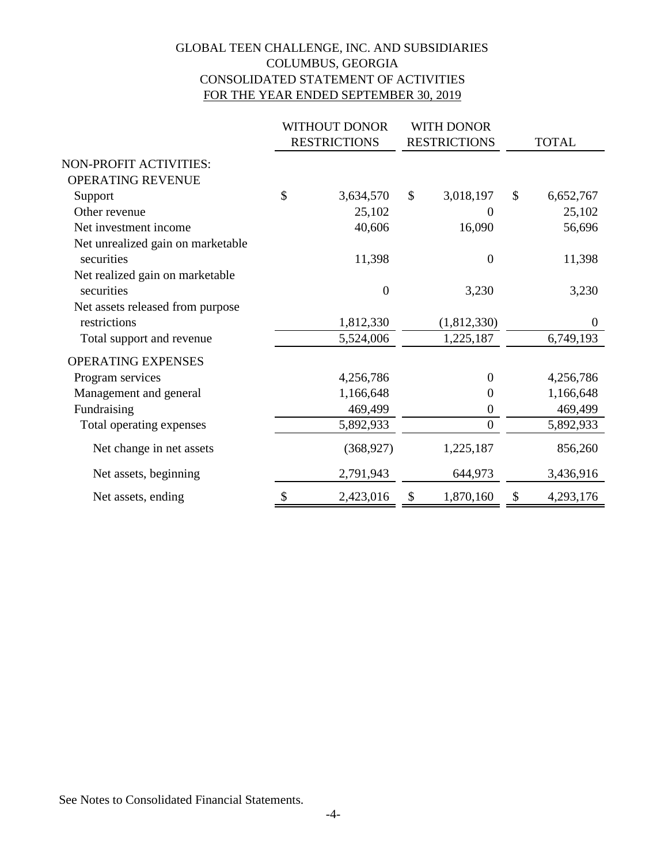# GLOBAL TEEN CHALLENGE, INC. AND SUBSIDIARIES COLUMBUS, GEORGIA CONSOLIDATED STATEMENT OF ACTIVITIES FOR THE YEAR ENDED SEPTEMBER 30, 2019

|                                   | <b>WITHOUT DONOR</b> |                     | <b>WITH DONOR</b>   |               |                |  |
|-----------------------------------|----------------------|---------------------|---------------------|---------------|----------------|--|
|                                   |                      | <b>RESTRICTIONS</b> | <b>RESTRICTIONS</b> |               | <b>TOTAL</b>   |  |
| NON-PROFIT ACTIVITIES:            |                      |                     |                     |               |                |  |
| OPERATING REVENUE                 |                      |                     |                     |               |                |  |
| Support                           | \$                   | 3,634,570           | \$<br>3,018,197     | $\mathcal{S}$ | 6,652,767      |  |
| Other revenue                     |                      | 25,102              | 0                   |               | 25,102         |  |
| Net investment income             |                      | 40,606              | 16,090              |               | 56,696         |  |
| Net unrealized gain on marketable |                      |                     |                     |               |                |  |
| securities                        |                      | 11,398              | $\overline{0}$      |               | 11,398         |  |
| Net realized gain on marketable   |                      |                     |                     |               |                |  |
| securities                        |                      | $\overline{0}$      | 3,230               |               | 3,230          |  |
| Net assets released from purpose  |                      |                     |                     |               |                |  |
| restrictions                      |                      | 1,812,330           | (1,812,330)         |               | $\overline{0}$ |  |
| Total support and revenue         |                      | 5,524,006           | 1,225,187           |               | 6,749,193      |  |
| <b>OPERATING EXPENSES</b>         |                      |                     |                     |               |                |  |
| Program services                  |                      | 4,256,786           | $\boldsymbol{0}$    |               | 4,256,786      |  |
| Management and general            |                      | 1,166,648           | 0                   |               | 1,166,648      |  |
| Fundraising                       |                      | 469,499             | $\boldsymbol{0}$    |               | 469,499        |  |
| Total operating expenses          |                      | 5,892,933           | $\overline{0}$      |               | 5,892,933      |  |
| Net change in net assets          |                      | (368, 927)          | 1,225,187           |               | 856,260        |  |
| Net assets, beginning             |                      | 2,791,943           | 644,973             |               | 3,436,916      |  |
| Net assets, ending                | \$                   | 2,423,016           | \$<br>1,870,160     | \$            | 4,293,176      |  |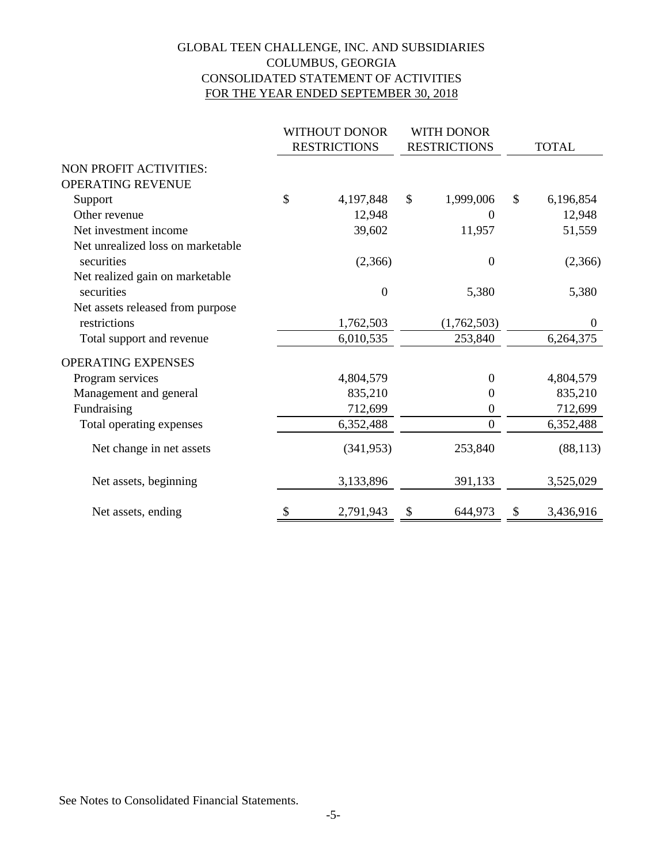# GLOBAL TEEN CHALLENGE, INC. AND SUBSIDIARIES COLUMBUS, GEORGIA CONSOLIDATED STATEMENT OF ACTIVITIES FOR THE YEAR ENDED SEPTEMBER 30, 2018

|                                   | WITHOUT DONOR       |                     | WITH DONOR       |                           |              |  |
|-----------------------------------|---------------------|---------------------|------------------|---------------------------|--------------|--|
|                                   | <b>RESTRICTIONS</b> | <b>RESTRICTIONS</b> |                  |                           | <b>TOTAL</b> |  |
| <b>NON PROFIT ACTIVITIES:</b>     |                     |                     |                  |                           |              |  |
| OPERATING REVENUE                 |                     |                     |                  |                           |              |  |
| Support                           | \$<br>4,197,848     | \$                  | 1,999,006        | $\boldsymbol{\mathsf{S}}$ | 6,196,854    |  |
| Other revenue                     | 12,948              |                     | $\Omega$         |                           | 12,948       |  |
| Net investment income             | 39,602              |                     | 11,957           |                           | 51,559       |  |
| Net unrealized loss on marketable |                     |                     |                  |                           |              |  |
| securities                        | (2,366)             |                     | $\boldsymbol{0}$ |                           | (2,366)      |  |
| Net realized gain on marketable   |                     |                     |                  |                           |              |  |
| securities                        | $\boldsymbol{0}$    |                     | 5,380            |                           | 5,380        |  |
| Net assets released from purpose  |                     |                     |                  |                           |              |  |
| restrictions                      | 1,762,503           |                     | (1,762,503)      |                           | $\theta$     |  |
| Total support and revenue         | 6,010,535           |                     | 253,840          |                           | 6,264,375    |  |
| <b>OPERATING EXPENSES</b>         |                     |                     |                  |                           |              |  |
| Program services                  | 4,804,579           |                     | $\overline{0}$   |                           | 4,804,579    |  |
| Management and general            | 835,210             |                     | $\theta$         |                           | 835,210      |  |
| Fundraising                       | 712,699             |                     | $\theta$         |                           | 712,699      |  |
| Total operating expenses          | 6,352,488           |                     | $\overline{0}$   |                           | 6,352,488    |  |
| Net change in net assets          | (341, 953)          |                     | 253,840          |                           | (88, 113)    |  |
| Net assets, beginning             | 3,133,896           |                     | 391,133          |                           | 3,525,029    |  |
| Net assets, ending                | \$<br>2,791,943     | \$                  | 644,973          | \$                        | 3,436,916    |  |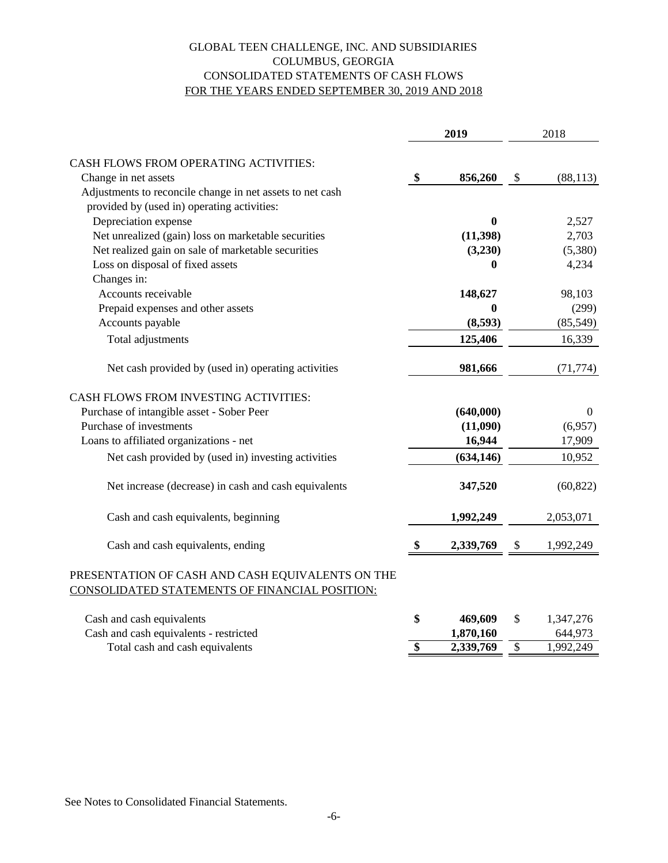# FOR THE YEARS ENDED SEPTEMBER 30, 2019 AND 2018 CONSOLIDATED STATEMENTS OF CASH FLOWS COLUMBUS, GEORGIA GLOBAL TEEN CHALLENGE, INC. AND SUBSIDIARIES

|                                                                                                    | 2019 |                  |    | 2018           |  |  |
|----------------------------------------------------------------------------------------------------|------|------------------|----|----------------|--|--|
| <b>CASH FLOWS FROM OPERATING ACTIVITIES:</b>                                                       |      |                  |    |                |  |  |
| Change in net assets                                                                               | \$   | 856,260          | \$ | (88, 113)      |  |  |
| Adjustments to reconcile change in net assets to net cash                                          |      |                  |    |                |  |  |
| provided by (used in) operating activities:                                                        |      |                  |    |                |  |  |
| Depreciation expense                                                                               |      | $\boldsymbol{0}$ |    | 2,527          |  |  |
| Net unrealized (gain) loss on marketable securities                                                |      | (11,398)         |    | 2,703          |  |  |
| Net realized gain on sale of marketable securities                                                 |      | (3,230)          |    | (5,380)        |  |  |
| Loss on disposal of fixed assets                                                                   |      | $\boldsymbol{0}$ |    | 4,234          |  |  |
| Changes in:                                                                                        |      |                  |    |                |  |  |
| Accounts receivable                                                                                |      | 148,627          |    | 98,103         |  |  |
| Prepaid expenses and other assets                                                                  |      | 0                |    | (299)          |  |  |
| Accounts payable                                                                                   |      | (8,593)          |    | (85, 549)      |  |  |
| Total adjustments                                                                                  |      | 125,406          |    | 16,339         |  |  |
| Net cash provided by (used in) operating activities                                                |      | 981,666          |    | (71, 774)      |  |  |
| CASH FLOWS FROM INVESTING ACTIVITIES:                                                              |      |                  |    |                |  |  |
| Purchase of intangible asset - Sober Peer                                                          |      | (640,000)        |    | $\overline{0}$ |  |  |
| Purchase of investments                                                                            |      | (11,090)         |    | (6,957)        |  |  |
| Loans to affiliated organizations - net                                                            |      | 16,944           |    | 17,909         |  |  |
| Net cash provided by (used in) investing activities                                                |      | (634, 146)       |    | 10,952         |  |  |
| Net increase (decrease) in cash and cash equivalents                                               |      | 347,520          |    | (60, 822)      |  |  |
| Cash and cash equivalents, beginning                                                               |      | 1,992,249        |    | 2,053,071      |  |  |
| Cash and cash equivalents, ending                                                                  | \$   | 2,339,769        | \$ | 1,992,249      |  |  |
| PRESENTATION OF CASH AND CASH EQUIVALENTS ON THE<br>CONSOLIDATED STATEMENTS OF FINANCIAL POSITION: |      |                  |    |                |  |  |

| Cash and cash equivalents              | 469.609   | 1,347,276 |
|----------------------------------------|-----------|-----------|
| Cash and cash equivalents - restricted | 1,870,160 | 644,973   |
| Total cash and cash equivalents        | 2,339,769 | 1,992,249 |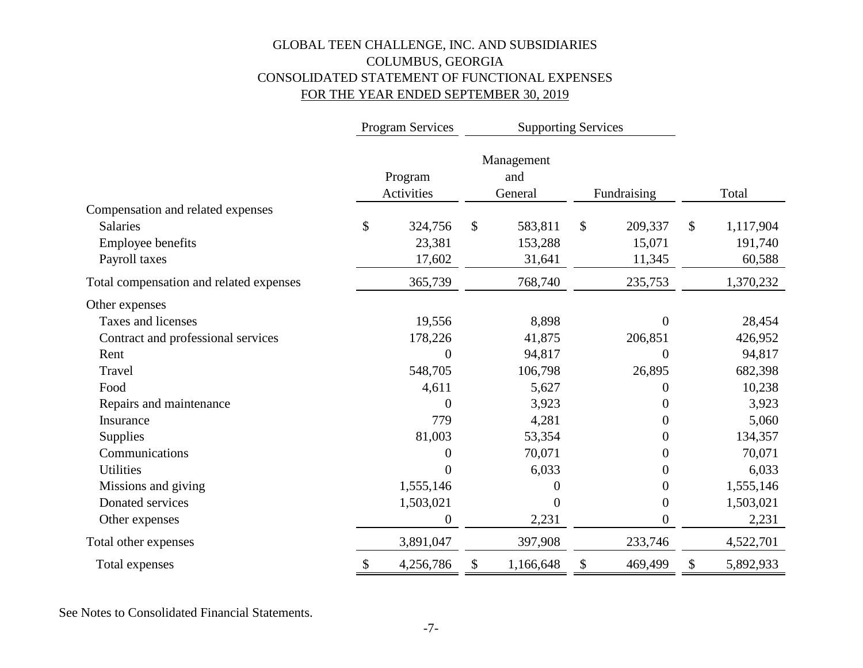# GLOBAL TEEN CHALLENGE, INC. AND SUBSIDIARIES COLUMBUS, GEORGIA CONSOLIDATED STATEMENT OF FUNCTIONAL EXPENSES FOR THE YEAR ENDED SEPTEMBER 30, 2019

|                                         |                            | Program Services      | <b>Supporting Services</b> |                              |    |                  |              |           |
|-----------------------------------------|----------------------------|-----------------------|----------------------------|------------------------------|----|------------------|--------------|-----------|
|                                         |                            | Program<br>Activities |                            | Management<br>and<br>General |    | Fundraising      |              | Total     |
| Compensation and related expenses       |                            |                       |                            |                              |    |                  |              |           |
| <b>Salaries</b>                         | \$                         | 324,756               | \$                         | 583,811                      | \$ | 209,337          | $\mathbb{S}$ | 1,117,904 |
| <b>Employee benefits</b>                |                            | 23,381                |                            | 153,288                      |    | 15,071           |              | 191,740   |
| Payroll taxes                           |                            | 17,602                |                            | 31,641                       |    | 11,345           |              | 60,588    |
| Total compensation and related expenses |                            | 365,739               |                            | 768,740                      |    | 235,753          |              | 1,370,232 |
| Other expenses                          |                            |                       |                            |                              |    |                  |              |           |
| Taxes and licenses                      |                            | 19,556                |                            | 8,898                        |    | $\theta$         |              | 28,454    |
| Contract and professional services      |                            | 178,226               |                            | 41,875                       |    | 206,851          |              | 426,952   |
| Rent                                    |                            | 0                     |                            | 94,817                       |    | $\overline{0}$   |              | 94,817    |
| Travel                                  |                            | 548,705               |                            | 106,798                      |    | 26,895           |              | 682,398   |
| Food                                    |                            | 4,611                 |                            | 5,627                        |    | 0                |              | 10,238    |
| Repairs and maintenance                 |                            | 0                     |                            | 3,923                        |    | 0                |              | 3,923     |
| Insurance                               |                            | 779                   |                            | 4,281                        |    | $\theta$         |              | 5,060     |
| Supplies                                |                            | 81,003                |                            | 53,354                       |    | 0                |              | 134,357   |
| Communications                          |                            | 0                     |                            | 70,071                       |    | 0                |              | 70,071    |
| <b>Utilities</b>                        |                            | 0                     |                            | 6,033                        |    | 0                |              | 6,033     |
| Missions and giving                     |                            | 1,555,146             |                            | 0                            |    | $\theta$         |              | 1,555,146 |
| Donated services                        |                            | 1,503,021             |                            | $\overline{0}$               |    | $\boldsymbol{0}$ |              | 1,503,021 |
| Other expenses                          |                            | $\boldsymbol{0}$      |                            | 2,231                        |    | $\boldsymbol{0}$ |              | 2,231     |
| Total other expenses                    |                            | 3,891,047             |                            | 397,908                      |    | 233,746          |              | 4,522,701 |
| Total expenses                          | $\boldsymbol{\mathsf{\$}}$ | 4,256,786             | \$                         | 1,166,648                    | \$ | 469,499          | \$           | 5,892,933 |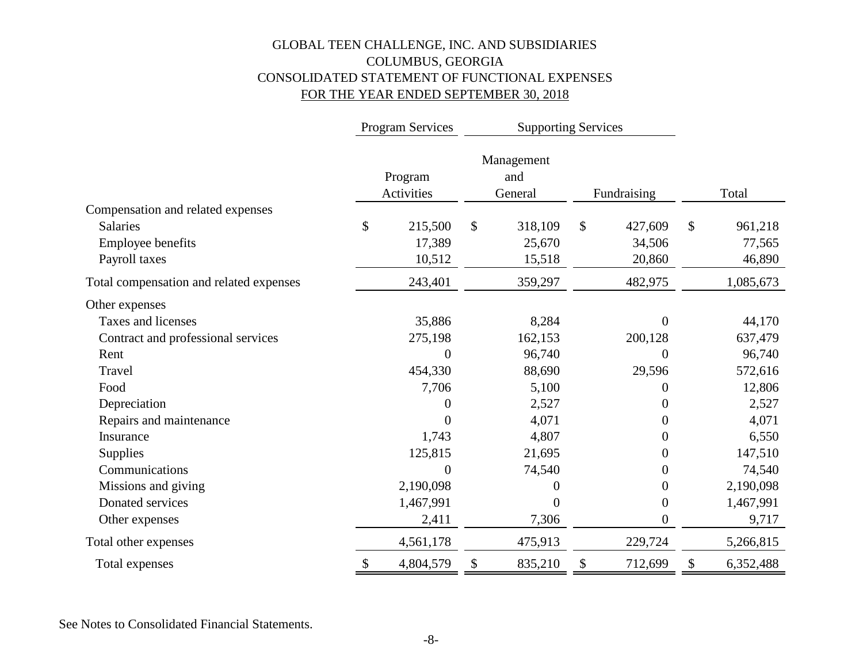# GLOBAL TEEN CHALLENGE, INC. AND SUBSIDIARIES COLUMBUS, GEORGIA CONSOLIDATED STATEMENT OF FUNCTIONAL EXPENSES FOR THE YEAR ENDED SEPTEMBER 30, 2018

|                                         | Program Services      | <b>Supporting Services</b> |                              |    |                  |                 |
|-----------------------------------------|-----------------------|----------------------------|------------------------------|----|------------------|-----------------|
|                                         | Program<br>Activities |                            | Management<br>and<br>General |    | Fundraising      | Total           |
| Compensation and related expenses       |                       |                            |                              |    |                  |                 |
| <b>Salaries</b>                         | \$<br>215,500         | $\mathcal{S}$              | 318,109                      | \$ | 427,609          | \$<br>961,218   |
| <b>Employee benefits</b>                | 17,389                |                            | 25,670                       |    | 34,506           | 77,565          |
| Payroll taxes                           | 10,512                |                            | 15,518                       |    | 20,860           | 46,890          |
| Total compensation and related expenses | 243,401               |                            | 359,297                      |    | 482,975          | 1,085,673       |
| Other expenses                          |                       |                            |                              |    |                  |                 |
| Taxes and licenses                      | 35,886                |                            | 8,284                        |    | $\overline{0}$   | 44,170          |
| Contract and professional services      | 275,198               |                            | 162,153                      |    | 200,128          | 637,479         |
| Rent                                    | $\overline{0}$        |                            | 96,740                       |    | $\overline{0}$   | 96,740          |
| Travel                                  | 454,330               |                            | 88,690                       |    | 29,596           | 572,616         |
| Food                                    | 7,706                 |                            | 5,100                        |    | $\boldsymbol{0}$ | 12,806          |
| Depreciation                            | 0                     |                            | 2,527                        |    | 0                | 2,527           |
| Repairs and maintenance                 | $\theta$              |                            | 4,071                        |    | $\boldsymbol{0}$ | 4,071           |
| Insurance                               | 1,743                 |                            | 4,807                        |    | $\boldsymbol{0}$ | 6,550           |
| <b>Supplies</b>                         | 125,815               |                            | 21,695                       |    | $\boldsymbol{0}$ | 147,510         |
| Communications                          | $\boldsymbol{0}$      |                            | 74,540                       |    | $\boldsymbol{0}$ | 74,540          |
| Missions and giving                     | 2,190,098             |                            | 0                            |    | $\boldsymbol{0}$ | 2,190,098       |
| Donated services                        | 1,467,991             |                            | $\theta$                     |    | $\boldsymbol{0}$ | 1,467,991       |
| Other expenses                          | 2,411                 |                            | 7,306                        |    | $\boldsymbol{0}$ | 9,717           |
| Total other expenses                    | 4,561,178             |                            | 475,913                      |    | 229,724          | 5,266,815       |
| Total expenses                          | \$<br>4,804,579       | \$                         | 835,210                      | \$ | 712,699          | \$<br>6,352,488 |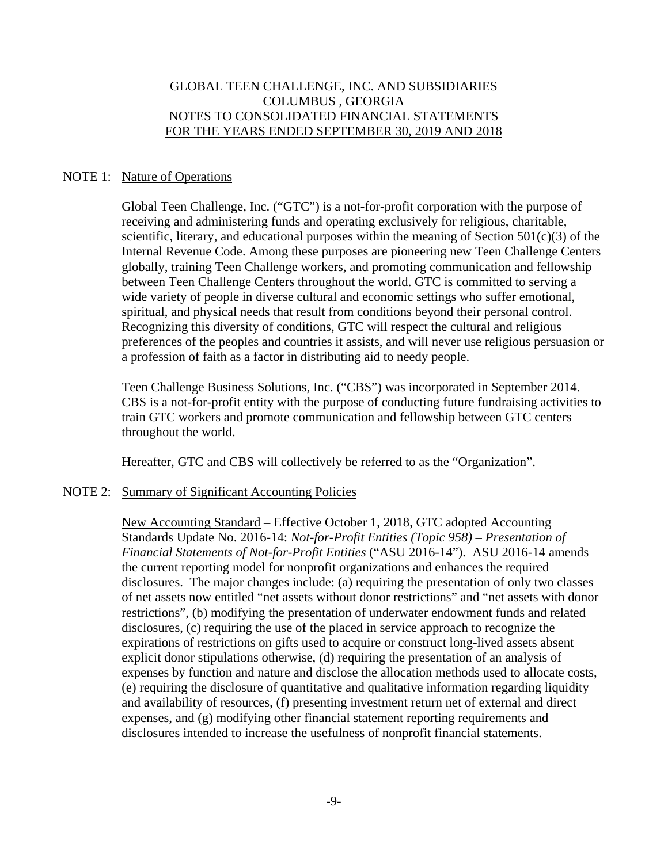#### NOTE 1: Nature of Operations

Global Teen Challenge, Inc. ("GTC") is a not-for-profit corporation with the purpose of receiving and administering funds and operating exclusively for religious, charitable, scientific, literary, and educational purposes within the meaning of Section  $501(c)(3)$  of the Internal Revenue Code. Among these purposes are pioneering new Teen Challenge Centers globally, training Teen Challenge workers, and promoting communication and fellowship between Teen Challenge Centers throughout the world. GTC is committed to serving a wide variety of people in diverse cultural and economic settings who suffer emotional, spiritual, and physical needs that result from conditions beyond their personal control. Recognizing this diversity of conditions, GTC will respect the cultural and religious preferences of the peoples and countries it assists, and will never use religious persuasion or a profession of faith as a factor in distributing aid to needy people.

Teen Challenge Business Solutions, Inc. ("CBS") was incorporated in September 2014. CBS is a not-for-profit entity with the purpose of conducting future fundraising activities to train GTC workers and promote communication and fellowship between GTC centers throughout the world.

Hereafter, GTC and CBS will collectively be referred to as the "Organization".

#### NOTE 2: Summary of Significant Accounting Policies

 New Accounting Standard – Effective October 1, 2018, GTC adopted Accounting Standards Update No. 2016-14: *Not-for-Profit Entities (Topic 958) – Presentation of Financial Statements of Not-for-Profit Entities* ("ASU 2016-14"). ASU 2016-14 amends the current reporting model for nonprofit organizations and enhances the required disclosures. The major changes include: (a) requiring the presentation of only two classes of net assets now entitled "net assets without donor restrictions" and "net assets with donor restrictions", (b) modifying the presentation of underwater endowment funds and related disclosures, (c) requiring the use of the placed in service approach to recognize the expirations of restrictions on gifts used to acquire or construct long-lived assets absent explicit donor stipulations otherwise, (d) requiring the presentation of an analysis of expenses by function and nature and disclose the allocation methods used to allocate costs, (e) requiring the disclosure of quantitative and qualitative information regarding liquidity and availability of resources, (f) presenting investment return net of external and direct expenses, and (g) modifying other financial statement reporting requirements and disclosures intended to increase the usefulness of nonprofit financial statements.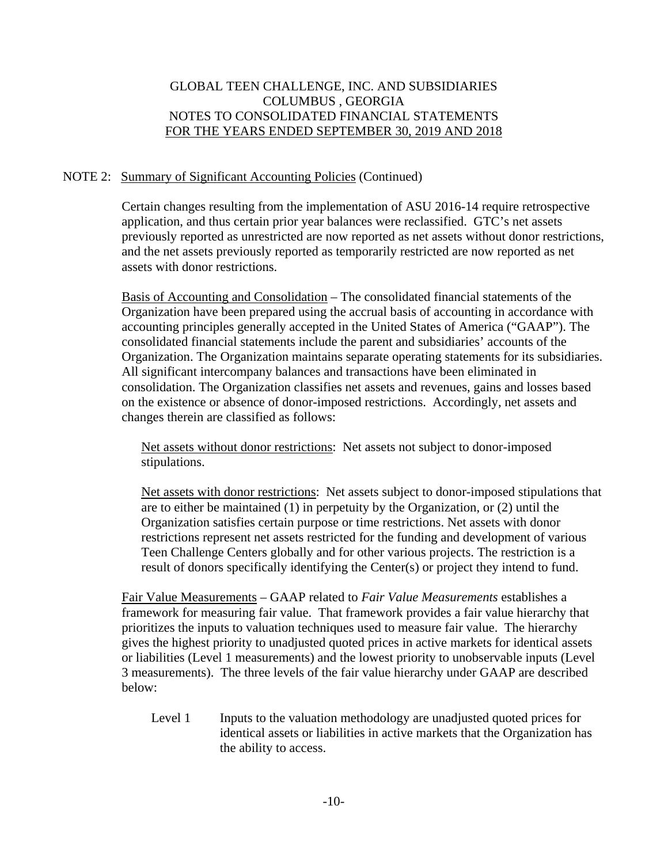# NOTE 2: Summary of Significant Accounting Policies (Continued)

 Certain changes resulting from the implementation of ASU 2016-14 require retrospective application, and thus certain prior year balances were reclassified. GTC's net assets previously reported as unrestricted are now reported as net assets without donor restrictions, and the net assets previously reported as temporarily restricted are now reported as net assets with donor restrictions.

Basis of Accounting and Consolidation – The consolidated financial statements of the Organization have been prepared using the accrual basis of accounting in accordance with accounting principles generally accepted in the United States of America ("GAAP"). The consolidated financial statements include the parent and subsidiaries' accounts of the Organization. The Organization maintains separate operating statements for its subsidiaries. All significant intercompany balances and transactions have been eliminated in consolidation. The Organization classifies net assets and revenues, gains and losses based on the existence or absence of donor-imposed restrictions. Accordingly, net assets and changes therein are classified as follows:

 Net assets without donor restrictions: Net assets not subject to donor-imposed stipulations.

Net assets with donor restrictions: Net assets subject to donor-imposed stipulations that are to either be maintained (1) in perpetuity by the Organization, or (2) until the Organization satisfies certain purpose or time restrictions. Net assets with donor restrictions represent net assets restricted for the funding and development of various Teen Challenge Centers globally and for other various projects. The restriction is a result of donors specifically identifying the Center(s) or project they intend to fund.

Fair Value Measurements – GAAP related to *Fair Value Measurements* establishes a framework for measuring fair value. That framework provides a fair value hierarchy that prioritizes the inputs to valuation techniques used to measure fair value. The hierarchy gives the highest priority to unadjusted quoted prices in active markets for identical assets or liabilities (Level 1 measurements) and the lowest priority to unobservable inputs (Level 3 measurements). The three levels of the fair value hierarchy under GAAP are described below:

Level 1 Inputs to the valuation methodology are unadjusted quoted prices for identical assets or liabilities in active markets that the Organization has the ability to access.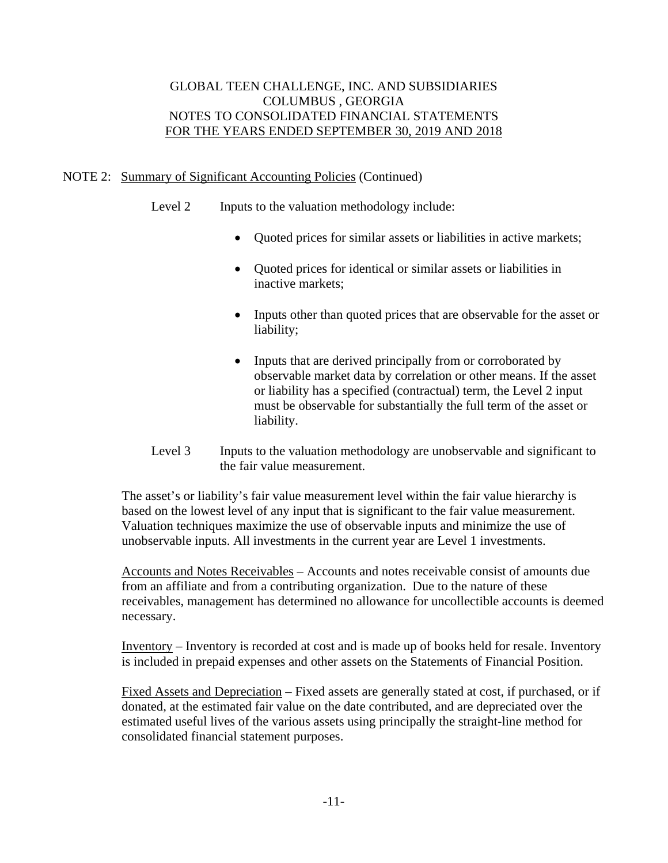# NOTE 2: Summary of Significant Accounting Policies (Continued)

- Level 2 Inputs to the valuation methodology include:
	- Quoted prices for similar assets or liabilities in active markets;
	- Quoted prices for identical or similar assets or liabilities in inactive markets;
	- Inputs other than quoted prices that are observable for the asset or liability;
	- Inputs that are derived principally from or corroborated by observable market data by correlation or other means. If the asset or liability has a specified (contractual) term, the Level 2 input must be observable for substantially the full term of the asset or liability.
- Level 3 Inputs to the valuation methodology are unobservable and significant to the fair value measurement.

 The asset's or liability's fair value measurement level within the fair value hierarchy is based on the lowest level of any input that is significant to the fair value measurement. Valuation techniques maximize the use of observable inputs and minimize the use of unobservable inputs. All investments in the current year are Level 1 investments.

 Accounts and Notes Receivables – Accounts and notes receivable consist of amounts due from an affiliate and from a contributing organization. Due to the nature of these receivables, management has determined no allowance for uncollectible accounts is deemed necessary.

 Inventory – Inventory is recorded at cost and is made up of books held for resale. Inventory is included in prepaid expenses and other assets on the Statements of Financial Position.

 Fixed Assets and Depreciation – Fixed assets are generally stated at cost, if purchased, or if donated, at the estimated fair value on the date contributed, and are depreciated over the estimated useful lives of the various assets using principally the straight-line method for consolidated financial statement purposes.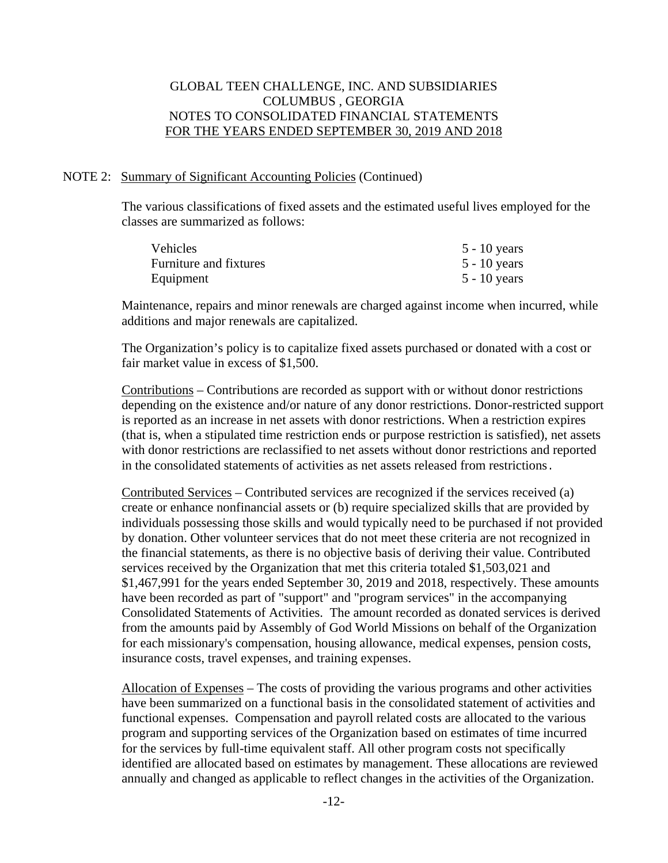#### NOTE 2: Summary of Significant Accounting Policies (Continued)

 The various classifications of fixed assets and the estimated useful lives employed for the classes are summarized as follows:

| <b>Vehicles</b>        | $5 - 10$ years |
|------------------------|----------------|
| Furniture and fixtures | $5 - 10$ years |
| Equipment              | $5 - 10$ years |

 Maintenance, repairs and minor renewals are charged against income when incurred, while additions and major renewals are capitalized.

 The Organization's policy is to capitalize fixed assets purchased or donated with a cost or fair market value in excess of \$1,500.

 Contributions – Contributions are recorded as support with or without donor restrictions depending on the existence and/or nature of any donor restrictions. Donor-restricted support is reported as an increase in net assets with donor restrictions. When a restriction expires (that is, when a stipulated time restriction ends or purpose restriction is satisfied), net assets with donor restrictions are reclassified to net assets without donor restrictions and reported in the consolidated statements of activities as net assets released from restrictions.

 Contributed Services – Contributed services are recognized if the services received (a) create or enhance nonfinancial assets or (b) require specialized skills that are provided by individuals possessing those skills and would typically need to be purchased if not provided by donation. Other volunteer services that do not meet these criteria are not recognized in the financial statements, as there is no objective basis of deriving their value. Contributed services received by the Organization that met this criteria totaled \$1,503,021 and \$1,467,991 for the years ended September 30, 2019 and 2018, respectively. These amounts have been recorded as part of "support" and "program services" in the accompanying Consolidated Statements of Activities. The amount recorded as donated services is derived from the amounts paid by Assembly of God World Missions on behalf of the Organization for each missionary's compensation, housing allowance, medical expenses, pension costs, insurance costs, travel expenses, and training expenses.

 Allocation of Expenses – The costs of providing the various programs and other activities have been summarized on a functional basis in the consolidated statement of activities and functional expenses. Compensation and payroll related costs are allocated to the various program and supporting services of the Organization based on estimates of time incurred for the services by full-time equivalent staff. All other program costs not specifically identified are allocated based on estimates by management. These allocations are reviewed annually and changed as applicable to reflect changes in the activities of the Organization.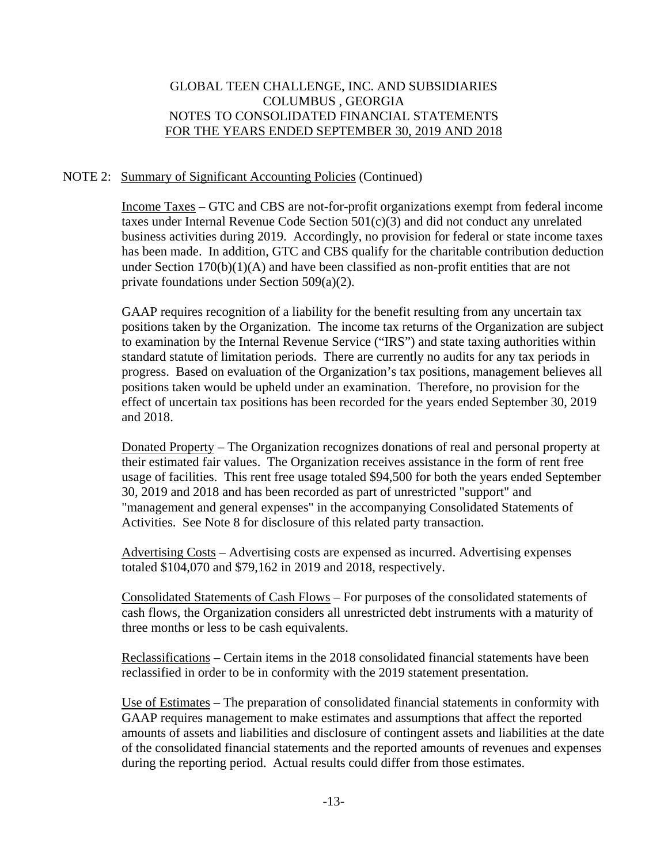# NOTE 2: Summary of Significant Accounting Policies (Continued)

 Income Taxes – GTC and CBS are not-for-profit organizations exempt from federal income taxes under Internal Revenue Code Section 501(c)(3) and did not conduct any unrelated business activities during 2019. Accordingly, no provision for federal or state income taxes has been made. In addition, GTC and CBS qualify for the charitable contribution deduction under Section 170(b)(1)(A) and have been classified as non-profit entities that are not private foundations under Section 509(a)(2).

 GAAP requires recognition of a liability for the benefit resulting from any uncertain tax positions taken by the Organization. The income tax returns of the Organization are subject to examination by the Internal Revenue Service ("IRS") and state taxing authorities within standard statute of limitation periods. There are currently no audits for any tax periods in progress. Based on evaluation of the Organization's tax positions, management believes all positions taken would be upheld under an examination. Therefore, no provision for the effect of uncertain tax positions has been recorded for the years ended September 30, 2019 and 2018.

 Donated Property – The Organization recognizes donations of real and personal property at their estimated fair values. The Organization receives assistance in the form of rent free usage of facilities. This rent free usage totaled \$94,500 for both the years ended September 30, 2019 and 2018 and has been recorded as part of unrestricted "support" and "management and general expenses" in the accompanying Consolidated Statements of Activities. See Note 8 for disclosure of this related party transaction.

 Advertising Costs – Advertising costs are expensed as incurred. Advertising expenses totaled \$104,070 and \$79,162 in 2019 and 2018, respectively.

 Consolidated Statements of Cash Flows – For purposes of the consolidated statements of cash flows, the Organization considers all unrestricted debt instruments with a maturity of three months or less to be cash equivalents.

 Reclassifications – Certain items in the 2018 consolidated financial statements have been reclassified in order to be in conformity with the 2019 statement presentation.

 Use of Estimates – The preparation of consolidated financial statements in conformity with GAAP requires management to make estimates and assumptions that affect the reported amounts of assets and liabilities and disclosure of contingent assets and liabilities at the date of the consolidated financial statements and the reported amounts of revenues and expenses during the reporting period. Actual results could differ from those estimates.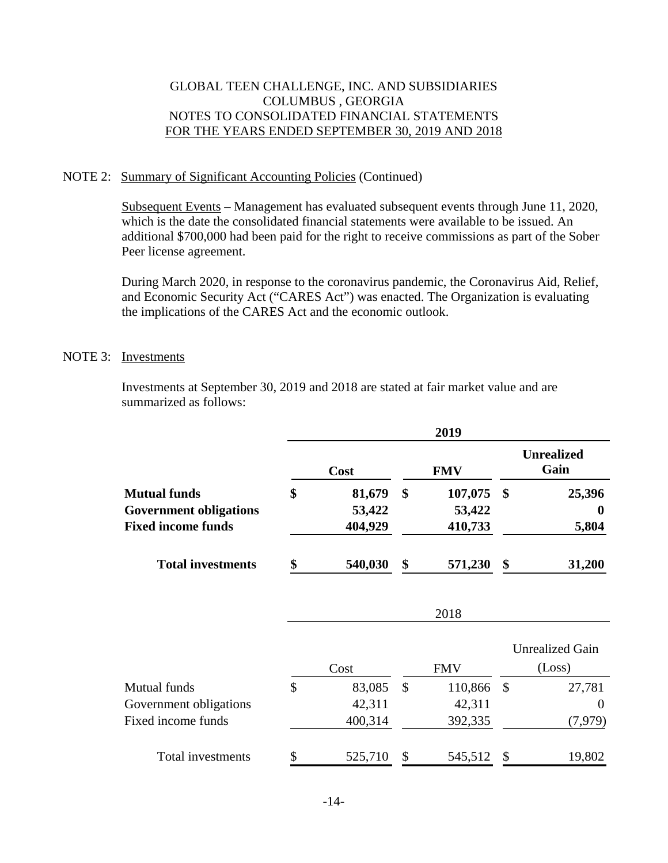#### NOTE 2: Summary of Significant Accounting Policies (Continued)

Subsequent Events – Management has evaluated subsequent events through June 11, 2020, which is the date the consolidated financial statements were available to be issued. An additional \$700,000 had been paid for the right to receive commissions as part of the Sober Peer license agreement.

During March 2020, in response to the coronavirus pandemic, the Coronavirus Aid, Relief, and Economic Security Act ("CARES Act") was enacted. The Organization is evaluating the implications of the CARES Act and the economic outlook.

#### NOTE 3: Investments

 Investments at September 30, 2019 and 2018 are stated at fair market value and are summarized as follows:

|                                                                                   | 2019 |                             |               |                              |                           |                                  |  |  |  |
|-----------------------------------------------------------------------------------|------|-----------------------------|---------------|------------------------------|---------------------------|----------------------------------|--|--|--|
|                                                                                   |      | Cost                        |               | <b>FMV</b>                   | <b>Unrealized</b><br>Gain |                                  |  |  |  |
| <b>Mutual funds</b><br><b>Government obligations</b><br><b>Fixed income funds</b> | \$   | 81,679<br>53,422<br>404,929 | \$            | 107,075<br>53,422<br>410,733 | \$                        | 25,396<br>0<br>5,804             |  |  |  |
| <b>Total investments</b>                                                          | \$   | 540,030                     | \$            | 571,230                      | \$                        | 31,200                           |  |  |  |
|                                                                                   |      |                             |               | 2018                         |                           |                                  |  |  |  |
|                                                                                   |      | Cost                        |               | <b>FMV</b>                   |                           | <b>Unrealized Gain</b><br>(Loss) |  |  |  |
| <b>Mutual funds</b>                                                               | \$   | 83,085                      | $\mathcal{S}$ | 110,866                      | $\mathcal{S}$             | 27,781                           |  |  |  |
| Government obligations                                                            |      | 42,311                      |               | 42,311                       |                           | 0                                |  |  |  |
| Fixed income funds                                                                |      | 400,314                     |               | 392,335                      |                           | (7,979)                          |  |  |  |
| Total investments                                                                 | \$   | 525,710                     | \$            | 545,512                      |                           | 19,802                           |  |  |  |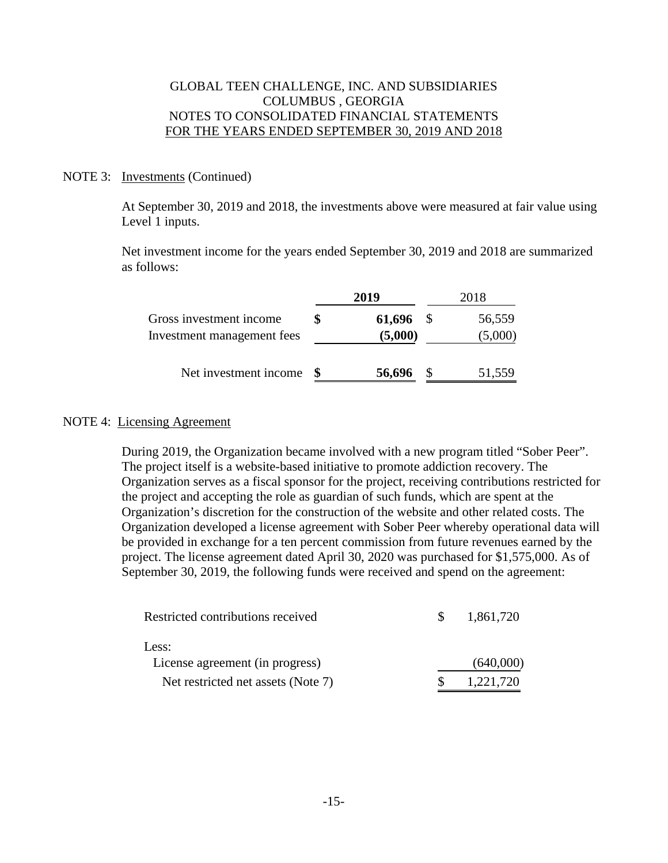#### NOTE 3: Investments (Continued)

 At September 30, 2019 and 2018, the investments above were measured at fair value using Level 1 inputs.

 Net investment income for the years ended September 30, 2019 and 2018 are summarized as follows:

|                                                       | 2019              | 2018 |                   |  |
|-------------------------------------------------------|-------------------|------|-------------------|--|
| Gross investment income<br>Investment management fees | 61,696<br>(5,000) |      | 56,559<br>(5,000) |  |
| Net investment income                                 | 56,696            |      | 51,559            |  |

#### NOTE 4: Licensing Agreement

During 2019, the Organization became involved with a new program titled "Sober Peer". The project itself is a website-based initiative to promote addiction recovery. The Organization serves as a fiscal sponsor for the project, receiving contributions restricted for the project and accepting the role as guardian of such funds, which are spent at the Organization's discretion for the construction of the website and other related costs. The Organization developed a license agreement with Sober Peer whereby operational data will be provided in exchange for a ten percent commission from future revenues earned by the project. The license agreement dated April 30, 2020 was purchased for \$1,575,000. As of September 30, 2019, the following funds were received and spend on the agreement:

| Restricted contributions received  | 1,861,720 |
|------------------------------------|-----------|
| Less:                              |           |
| License agreement (in progress)    | (640,000) |
| Net restricted net assets (Note 7) | 1,221,720 |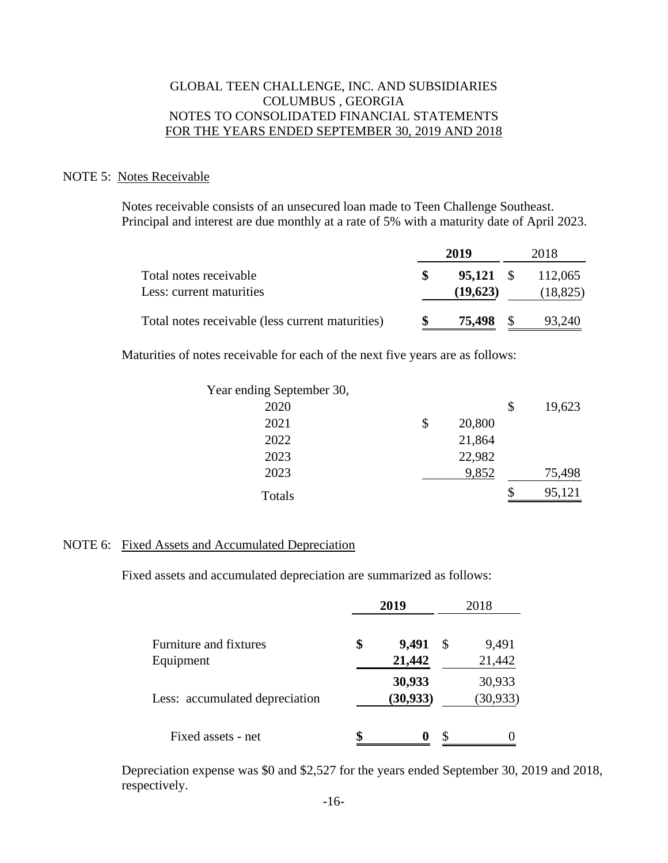#### NOTE 5: Notes Receivable

 Notes receivable consists of an unsecured loan made to Teen Challenge Southeast. Principal and interest are due monthly at a rate of 5% with a maturity date of April 2023.

|                                                    | 2019                  | 2018                 |
|----------------------------------------------------|-----------------------|----------------------|
| Total notes receivable<br>Less: current maturities | 95.121 \$<br>(19,623) | 112,065<br>(18, 825) |
| Total notes receivable (less current maturities)   | 75,498 \$             | 93,240               |

Maturities of notes receivable for each of the next five years are as follows:

| Year ending September 30, |              |              |
|---------------------------|--------------|--------------|
| 2020                      |              | \$<br>19,623 |
| 2021                      | \$<br>20,800 |              |
| 2022                      | 21,864       |              |
| 2023                      | 22,982       |              |
| 2023                      | 9,852        | 75,498       |
| Totals                    |              | \$<br>95,121 |

#### NOTE 6: Fixed Assets and Accumulated Depreciation

Fixed assets and accumulated depreciation are summarized as follows:

|                                | 2019        | 2018 |           |
|--------------------------------|-------------|------|-----------|
| Furniture and fixtures         | \$<br>9,491 | \$   | 9,491     |
| Equipment                      | 21,442      |      | 21,442    |
|                                | 30,933      |      | 30,933    |
| Less: accumulated depreciation | (30, 933)   |      | (30, 933) |
|                                |             |      |           |
| Fixed assets - net             | \$<br>0     | S    |           |

 Depreciation expense was \$0 and \$2,527 for the years ended September 30, 2019 and 2018, respectively.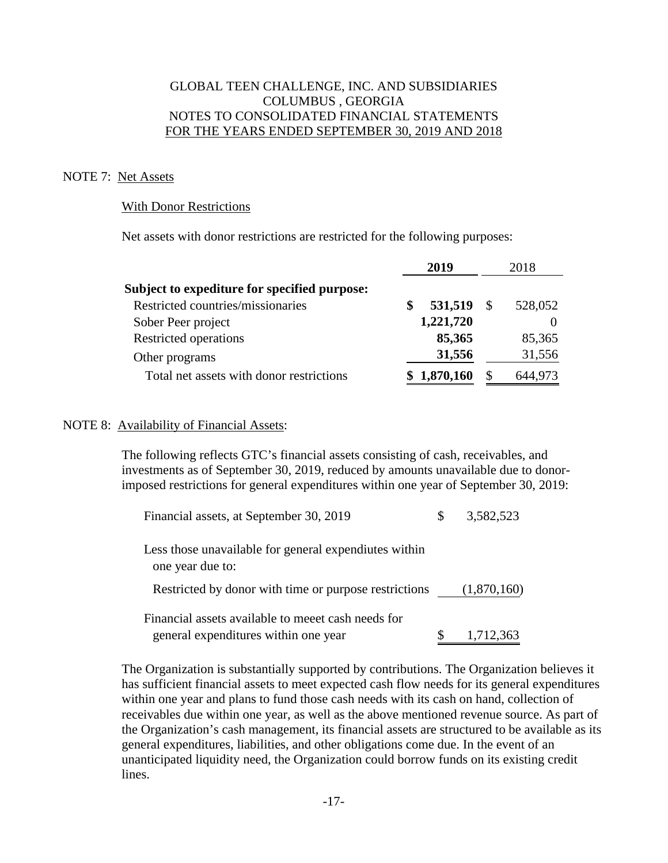#### NOTE 7: Net Assets

#### With Donor Restrictions

Net assets with donor restrictions are restricted for the following purposes:

|                                              | 2019 |           | 2018         |         |
|----------------------------------------------|------|-----------|--------------|---------|
| Subject to expediture for specified purpose: |      |           |              |         |
| Restricted countries/missionaries            | S    | 531,519   | $\mathbb{S}$ | 528,052 |
| Sober Peer project                           |      | 1,221,720 |              |         |
| Restricted operations                        |      | 85,365    |              | 85,365  |
| Other programs                               |      | 31,556    |              | 31,556  |
| Total net assets with donor restrictions     |      | 1,870,160 | \$           | 644,973 |

#### NOTE 8: Availability of Financial Assets:

 The following reflects GTC's financial assets consisting of cash, receivables, and investments as of September 30, 2019, reduced by amounts unavailable due to donorimposed restrictions for general expenditures within one year of September 30, 2019:

| Financial assets, at September 30, 2019                                                   | 3,582,523   |
|-------------------------------------------------------------------------------------------|-------------|
| Less those unavailable for general expendiutes within<br>one year due to:                 |             |
| Restricted by donor with time or purpose restrictions                                     | (1,870,160) |
| Financial assets available to meet cash needs for<br>general expenditures within one year | 1,712,363   |

 The Organization is substantially supported by contributions. The Organization believes it has sufficient financial assets to meet expected cash flow needs for its general expenditures within one year and plans to fund those cash needs with its cash on hand, collection of receivables due within one year, as well as the above mentioned revenue source. As part of the Organization's cash management, its financial assets are structured to be available as its general expenditures, liabilities, and other obligations come due. In the event of an unanticipated liquidity need, the Organization could borrow funds on its existing credit lines.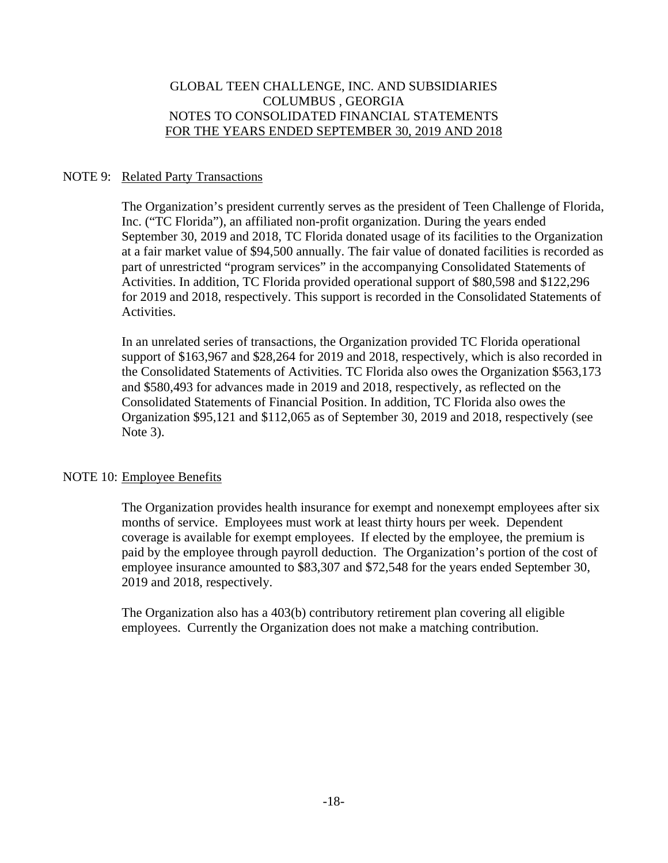# NOTE 9: Related Party Transactions

 The Organization's president currently serves as the president of Teen Challenge of Florida, Inc. ("TC Florida"), an affiliated non-profit organization. During the years ended September 30, 2019 and 2018, TC Florida donated usage of its facilities to the Organization at a fair market value of \$94,500 annually. The fair value of donated facilities is recorded as part of unrestricted "program services" in the accompanying Consolidated Statements of Activities. In addition, TC Florida provided operational support of \$80,598 and \$122,296 for 2019 and 2018, respectively. This support is recorded in the Consolidated Statements of Activities.

 In an unrelated series of transactions, the Organization provided TC Florida operational support of \$163,967 and \$28,264 for 2019 and 2018, respectively, which is also recorded in the Consolidated Statements of Activities. TC Florida also owes the Organization \$563,173 and \$580,493 for advances made in 2019 and 2018, respectively, as reflected on the Consolidated Statements of Financial Position. In addition, TC Florida also owes the Organization \$95,121 and \$112,065 as of September 30, 2019 and 2018, respectively (see Note 3).

#### NOTE 10: Employee Benefits

 The Organization provides health insurance for exempt and nonexempt employees after six months of service. Employees must work at least thirty hours per week. Dependent coverage is available for exempt employees. If elected by the employee, the premium is paid by the employee through payroll deduction. The Organization's portion of the cost of employee insurance amounted to \$83,307 and \$72,548 for the years ended September 30, 2019 and 2018, respectively.

 The Organization also has a 403(b) contributory retirement plan covering all eligible employees. Currently the Organization does not make a matching contribution.